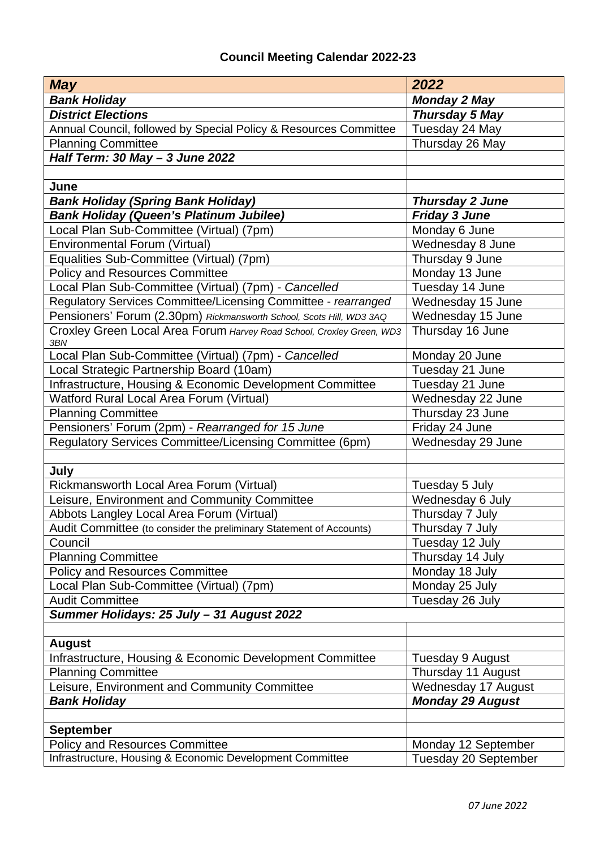## **Council Meeting Calendar 2022-23**

| <b>May</b>                                                                   | 2022                    |
|------------------------------------------------------------------------------|-------------------------|
| <b>Bank Holiday</b>                                                          | <b>Monday 2 May</b>     |
| <b>District Elections</b>                                                    | Thursday 5 May          |
| Annual Council, followed by Special Policy & Resources Committee             | Tuesday 24 May          |
| <b>Planning Committee</b>                                                    | Thursday 26 May         |
| Half Term: 30 May - 3 June 2022                                              |                         |
|                                                                              |                         |
| June                                                                         |                         |
| <b>Bank Holiday (Spring Bank Holiday)</b>                                    | <b>Thursday 2 June</b>  |
| <b>Bank Holiday (Queen's Platinum Jubilee)</b>                               | <b>Friday 3 June</b>    |
| Local Plan Sub-Committee (Virtual) (7pm)                                     | Monday 6 June           |
| Environmental Forum (Virtual)                                                | Wednesday 8 June        |
| Equalities Sub-Committee (Virtual) (7pm)                                     | Thursday 9 June         |
| <b>Policy and Resources Committee</b>                                        | Monday 13 June          |
| Local Plan Sub-Committee (Virtual) (7pm) - Cancelled                         | Tuesday 14 June         |
| Regulatory Services Committee/Licensing Committee - rearranged               | Wednesday 15 June       |
| Pensioners' Forum (2.30pm) Rickmansworth School, Scots Hill, WD3 3AQ         | Wednesday 15 June       |
| Croxley Green Local Area Forum Harvey Road School, Croxley Green, WD3<br>3BN | Thursday 16 June        |
| Local Plan Sub-Committee (Virtual) (7pm) - Cancelled                         | Monday 20 June          |
| Local Strategic Partnership Board (10am)                                     | Tuesday 21 June         |
| Infrastructure, Housing & Economic Development Committee                     | Tuesday 21 June         |
| Watford Rural Local Area Forum (Virtual)                                     | Wednesday 22 June       |
| <b>Planning Committee</b>                                                    | Thursday 23 June        |
| Pensioners' Forum (2pm) - Rearranged for 15 June                             | Friday 24 June          |
| Regulatory Services Committee/Licensing Committee (6pm)                      | Wednesday 29 June       |
| July                                                                         |                         |
| Rickmansworth Local Area Forum (Virtual)                                     | Tuesday 5 July          |
| Leisure, Environment and Community Committee                                 | Wednesday 6 July        |
| Abbots Langley Local Area Forum (Virtual)                                    | Thursday 7 July         |
| Audit Committee (to consider the preliminary Statement of Accounts)          | Thursday 7 July         |
| Council                                                                      | Tuesday 12 July         |
| <b>Planning Committee</b>                                                    | Thursday 14 July        |
| <b>Policy and Resources Committee</b>                                        | Monday 18 July          |
| Local Plan Sub-Committee (Virtual) (7pm)                                     | Monday 25 July          |
| <b>Audit Committee</b>                                                       | Tuesday 26 July         |
| Summer Holidays: 25 July - 31 August 2022                                    |                         |
|                                                                              |                         |
| <b>August</b>                                                                |                         |
| Infrastructure, Housing & Economic Development Committee                     | Tuesday 9 August        |
| <b>Planning Committee</b>                                                    | Thursday 11 August      |
| Leisure, Environment and Community Committee                                 | Wednesday 17 August     |
| <b>Bank Holiday</b>                                                          | <b>Monday 29 August</b> |
|                                                                              |                         |
| <b>September</b>                                                             |                         |
| <b>Policy and Resources Committee</b>                                        | Monday 12 September     |
| Infrastructure, Housing & Economic Development Committee                     | Tuesday 20 September    |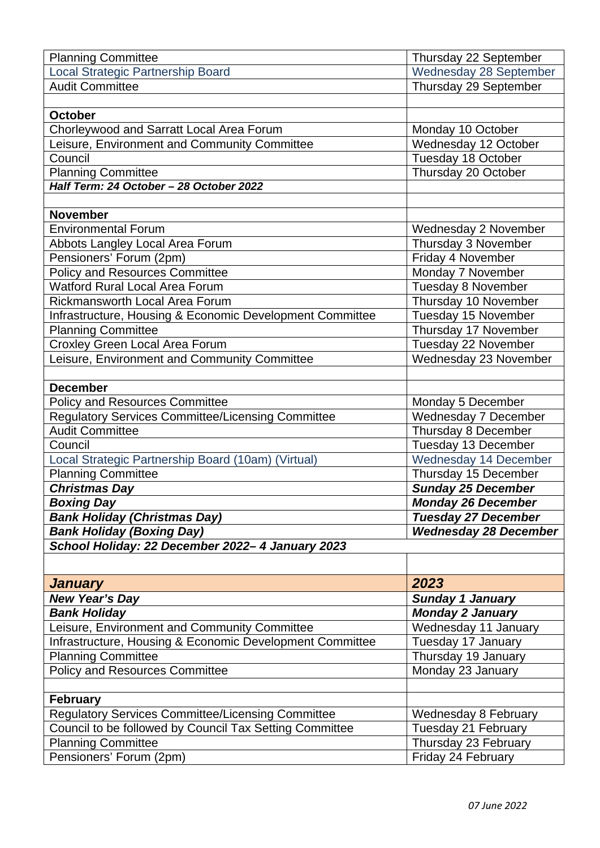| <b>Planning Committee</b>                                | Thursday 22 September         |
|----------------------------------------------------------|-------------------------------|
| <b>Local Strategic Partnership Board</b>                 | <b>Wednesday 28 September</b> |
| <b>Audit Committee</b>                                   | Thursday 29 September         |
|                                                          |                               |
| <b>October</b>                                           |                               |
| Chorleywood and Sarratt Local Area Forum                 | Monday 10 October             |
| Leisure, Environment and Community Committee             | Wednesday 12 October          |
| Council                                                  | Tuesday 18 October            |
| <b>Planning Committee</b>                                | Thursday 20 October           |
| Half Term: 24 October - 28 October 2022                  |                               |
|                                                          |                               |
| <b>November</b>                                          |                               |
| <b>Environmental Forum</b>                               | Wednesday 2 November          |
| Abbots Langley Local Area Forum                          | Thursday 3 November           |
| Pensioners' Forum (2pm)                                  | Friday 4 November             |
| <b>Policy and Resources Committee</b>                    | Monday 7 November             |
| <b>Watford Rural Local Area Forum</b>                    | Tuesday 8 November            |
| <b>Rickmansworth Local Area Forum</b>                    | Thursday 10 November          |
| Infrastructure, Housing & Economic Development Committee | Tuesday 15 November           |
| <b>Planning Committee</b>                                | Thursday 17 November          |
| <b>Croxley Green Local Area Forum</b>                    | Tuesday 22 November           |
| Leisure, Environment and Community Committee             | Wednesday 23 November         |
|                                                          |                               |
| <b>December</b>                                          |                               |
| <b>Policy and Resources Committee</b>                    | Monday 5 December             |
| Regulatory Services Committee/Licensing Committee        | Wednesday 7 December          |
| <b>Audit Committee</b>                                   | Thursday 8 December           |
| Council                                                  | Tuesday 13 December           |
| Local Strategic Partnership Board (10am) (Virtual)       | <b>Wednesday 14 December</b>  |
| <b>Planning Committee</b>                                | Thursday 15 December          |
| <b>Christmas Day</b>                                     | <b>Sunday 25 December</b>     |
| <b>Boxing Day</b>                                        | <b>Monday 26 December</b>     |
| <b>Bank Holiday (Christmas Day)</b>                      | <b>Tuesday 27 December</b>    |
| <b>Bank Holiday (Boxing Day)</b>                         | <b>Wednesday 28 December</b>  |
| School Holiday: 22 December 2022-4 January 2023          |                               |
|                                                          |                               |
| <b>January</b>                                           | 2023                          |
| New Year's Day                                           | <b>Sunday 1 January</b>       |
| <b>Bank Holiday</b>                                      | <b>Monday 2 January</b>       |
| Leisure, Environment and Community Committee             | Wednesday 11 January          |
| Infrastructure, Housing & Economic Development Committee | Tuesday 17 January            |
| <b>Planning Committee</b>                                | Thursday 19 January           |
| <b>Policy and Resources Committee</b>                    | Monday 23 January             |
|                                                          |                               |
| <b>February</b>                                          |                               |
| Regulatory Services Committee/Licensing Committee        | Wednesday 8 February          |
| Council to be followed by Council Tax Setting Committee  | Tuesday 21 February           |
| <b>Planning Committee</b>                                | Thursday 23 February          |
| Pensioners' Forum (2pm)                                  | Friday 24 February            |